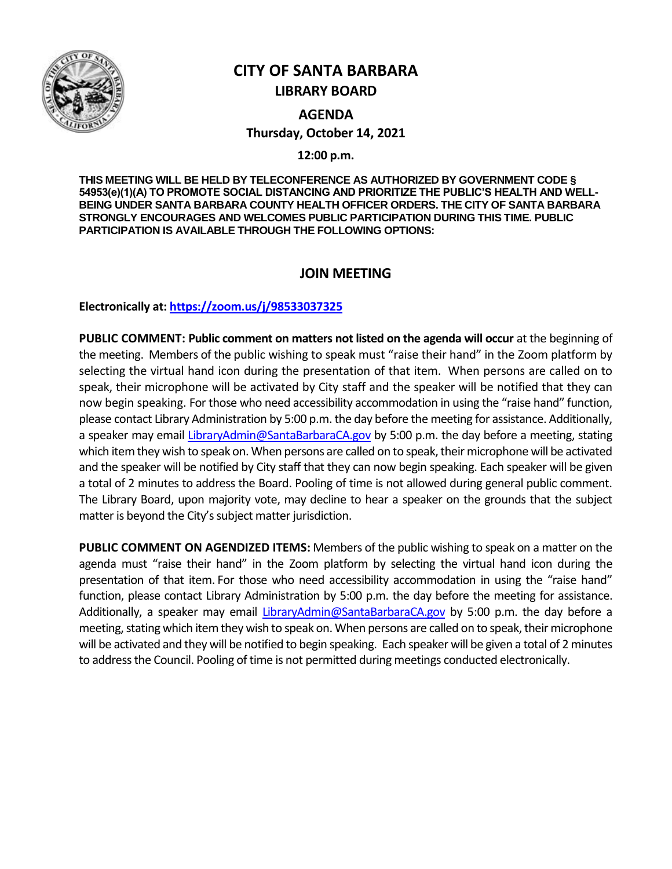

# **CITY OF SANTA BARBARA LIBRARY BOARD**

**AGENDA Thursday, October 14, 2021**

**12:00 p.m.**

**THIS MEETING WILL BE HELD BY TELECONFERENCE AS AUTHORIZED BY GOVERNMENT CODE § 54953(e)(1)(A) TO PROMOTE SOCIAL DISTANCING AND PRIORITIZE THE PUBLIC'S HEALTH AND WELL-BEING UNDER SANTA BARBARA COUNTY HEALTH OFFICER ORDERS. THE CITY OF SANTA BARBARA STRONGLY ENCOURAGES AND WELCOMES PUBLIC PARTICIPATION DURING THIS TIME. PUBLIC PARTICIPATION IS AVAILABLE THROUGH THE FOLLOWING OPTIONS:**

## **JOIN MEETING**

**Electronically at[: https://zoom.us/j/98533037325](https://zoom.us/j/98533037325)**

**PUBLIC COMMENT: Public comment on matters not listed on the agenda will occur** at the beginning of the meeting. Members of the public wishing to speak must "raise their hand" in the Zoom platform by selecting the virtual hand icon during the presentation of that item. When persons are called on to speak, their microphone will be activated by City staff and the speaker will be notified that they can now begin speaking. For those who need accessibility accommodation in using the "raise hand" function, please contact Library Administration by 5:00 p.m. the day before the meeting for assistance. Additionally, a speaker may email [LibraryAdmin@SantaBarbaraCA.gov](mailto:LibraryAdmin@SantaBarbaraCA.gov) by 5:00 p.m. the day before a meeting, stating which item they wish to speak on. When persons are called on to speak, their microphone will be activated and the speaker will be notified by City staff that they can now begin speaking. Each speaker will be given a total of 2 minutes to address the Board. Pooling of time is not allowed during general public comment. The Library Board, upon majority vote, may decline to hear a speaker on the grounds that the subject matter is beyond the City's subject matter jurisdiction.

**PUBLIC COMMENT ON AGENDIZED ITEMS:** Members of the public wishing to speak on a matter on the agenda must "raise their hand" in the Zoom platform by selecting the virtual hand icon during the presentation of that item. For those who need accessibility accommodation in using the "raise hand" function, please contact Library Administration by 5:00 p.m. the day before the meeting for assistance. Additionally, a speaker may email [LibraryAdmin@SantaBarbaraCA.gov](mailto:LibraryAdmin@SantaBarbaraCA.gov) by 5:00 p.m. the day before a meeting, stating which item they wish to speak on. When persons are called on to speak, their microphone will be activated and they will be notified to begin speaking. Each speaker will be given a total of 2 minutes to address the Council. Pooling of time is not permitted during meetings conducted electronically.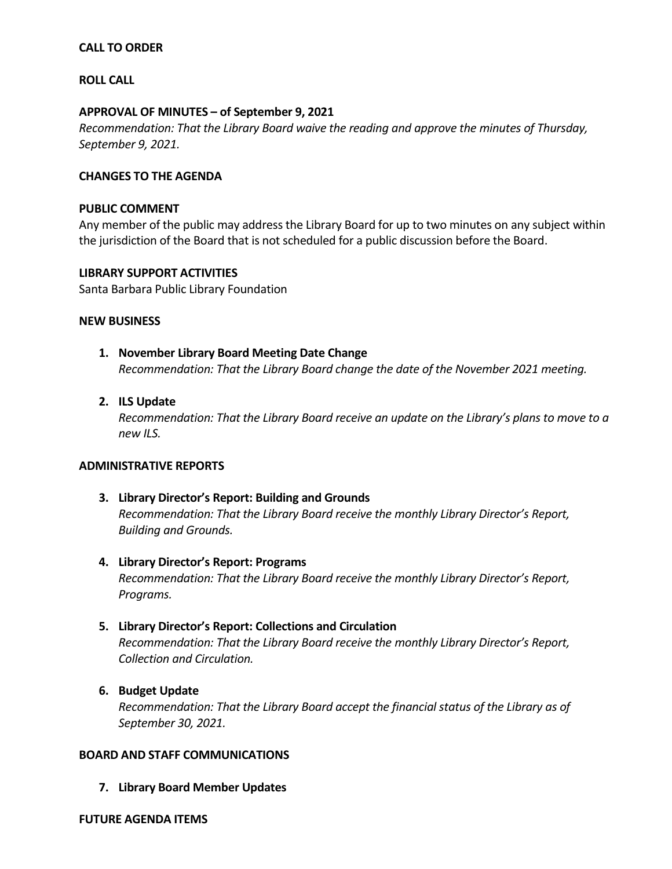## **CALL TO ORDER**

### **ROLL CALL**

### **APPROVAL OF MINUTES – of September 9, 2021**

*Recommendation: That the Library Board waive the reading and approve the minutes of Thursday, September 9, 2021.*

### **CHANGES TO THE AGENDA**

#### **PUBLIC COMMENT**

Any member of the public may address the Library Board for up to two minutes on any subject within the jurisdiction of the Board that is not scheduled for a public discussion before the Board.

## **LIBRARY SUPPORT ACTIVITIES**

Santa Barbara Public Library Foundation

#### **NEW BUSINESS**

## **1. November Library Board Meeting Date Change**

*Recommendation: That the Library Board change the date of the November 2021 meeting.* 

## **2. ILS Update**

*Recommendation: That the Library Board receive an update on the Library's plans to move to a new ILS.* 

## **ADMINISTRATIVE REPORTS**

- **3. Library Director's Report: Building and Grounds** *Recommendation: That the Library Board receive the monthly Library Director's Report, Building and Grounds.*
- **4. Library Director's Report: Programs** *Recommendation: That the Library Board receive the monthly Library Director's Report, Programs.*

## **5. Library Director's Report: Collections and Circulation**

*Recommendation: That the Library Board receive the monthly Library Director's Report, Collection and Circulation.*

## **6. Budget Update**

*Recommendation: That the Library Board accept the financial status of the Library as of September 30, 2021.* 

#### **BOARD AND STAFF COMMUNICATIONS**

**7. Library Board Member Updates**

#### **FUTURE AGENDA ITEMS**